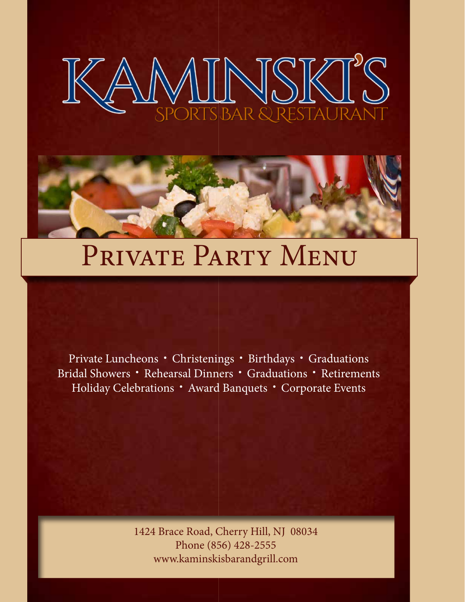



# PRIVATE PARTY MENU

Private Luncheons • Christenings • Birthdays • Graduations Bridal Showers • Rehearsal Dinners • Graduations • Retirements Holiday Celebrations • Award Banquets • Corporate Events

> 1424 Brace Road, Cherry Hill, NJ 08034 Phone (856) 428-2555 www.kaminskisbarandgrill.com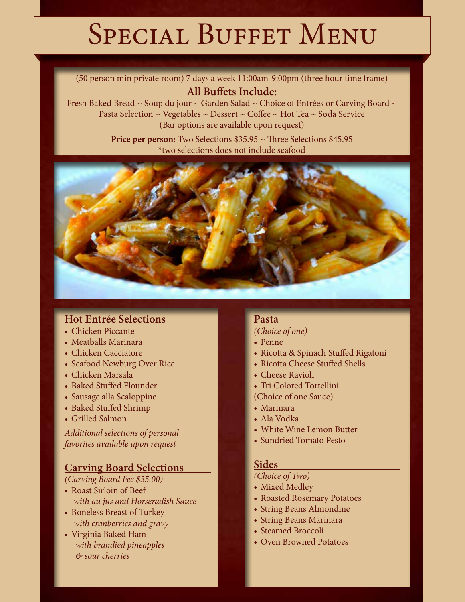# SPECIAL BUFFET MENU

(50 person min private room) 7 days a week 11:00am-9:00pm (three hour time frame) **All Buffets Include:**

Fresh Baked Bread  $\sim$  Soup du jour  $\sim$  Garden Salad  $\sim$  Choice of Entrées or Carving Board  $\sim$ Pasta Selection  $\sim$  Vegetables  $\sim$  Dessert  $\sim$  Coffee  $\sim$  Hot Tea  $\sim$  Soda Service (Bar options are available upon request)

> **Price per person:** Two Selections \$35.95 ~ Three Selections \$45.95 \*two selections does not include seafood



# **Hot Entrée Selections**

- Chicken Piccante
- Meatballs Marinara
- Chicken Cacciatore
- Seafood Newburg Over Rice
- Chicken Marsala
- Baked Stuffed Flounder
- Sausage alla Scaloppine
- Baked Stuffed Shrimp
- Grilled Salmon

*Additional selections of personal favorites available upon request*

# **Carving Board Selections**

*(Carving Board Fee \$35.00)*

- Roast Sirloin of Beef  *with au jus and Horseradish Sauce*
- Boneless Breast of Turkey  *with cranberries and gravy*
- Virginia Baked Ham *with brandied pineapples & sour cherries*

#### **Pasta**

### *(Choice of one)*

- Penne
- Ricotta & Spinach Stuffed Rigatoni
- Ricotta Cheese Stuffed Shells
- Cheese Ravioli
- Tri Colored Tortellini
- (Choice of one Sauce)
- Marinara
- Ala Vodka
- White Wine Lemon Butter
- Sundried Tomato Pesto

#### **Sides**

*(Choice of Two)*

- Mixed Medley
- Roasted Rosemary Potatoes
- String Beans Almondine
- String Beans Marinara
- Steamed Broccoli
- Oven Browned Potatoes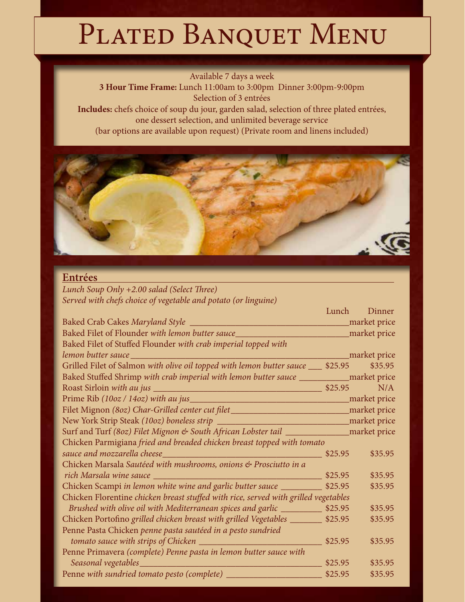# PLATED BANQUET MENU

Available 7 days a week

**3 Hour Time Frame:** Lunch 11:00am to 3:00pm Dinner 3:00pm-9:00pm Selection of 3 entrées

**Includes:** chefs choice of soup du jour, garden salad, selection of three plated entrées, one dessert selection, and unlimited beverage service (bar options are available upon request) (Private room and linens included)



Lunch Dinner

# **Entrées**

*Lunch Soup Only +2.00 salad (Select Three) Served with chefs choice of vegetable and potato (or linguine)*

| Baked Filet of Flounder with lemon butter sauce_________________________________market price                   |         |         |
|----------------------------------------------------------------------------------------------------------------|---------|---------|
| Baked Filet of Stuffed Flounder with crab imperial topped with                                                 |         |         |
| lemon butter sauce entitled and the control of the same of the same of the same of the same of the same of the |         |         |
| Grilled Filet of Salmon with olive oil topped with lemon butter sauce ___ \$25.95                              |         | \$35.95 |
| Baked Stuffed Shrimp with crab imperial with lemon butter sauce _____________ market price                     |         |         |
|                                                                                                                |         |         |
|                                                                                                                |         |         |
| Filet Mignon (80z) Char-Grilled center cut filet_________________________________market price                  |         |         |
|                                                                                                                |         |         |
| Surf and Turf (80z) Filet Mignon & South African Lobster tail _______________ market price                     |         |         |
| Chicken Parmigiana fried and breaded chicken breast topped with tomato                                         |         |         |
|                                                                                                                | \$25.95 | \$35.95 |
| Chicken Marsala Sautéed with mushrooms, onions & Prosciutto in a                                               |         |         |
|                                                                                                                | \$25.95 | \$35.95 |
| Chicken Scampi in lemon white wine and garlic butter sauce                                                     | \$25.95 | \$35.95 |
| Chicken Florentine chicken breast stuffed with rice, served with grilled vegetables                            |         |         |
| Brushed with olive oil with Mediterranean spices and garlic _____________ \$25.95                              |         | \$35.95 |
| Chicken Portofino grilled chicken breast with grilled Vegetables _______                                       | \$25.95 | \$35.95 |
| Penne Pasta Chicken penne pasta sautéed in a pesto sundried                                                    |         |         |
|                                                                                                                |         | \$35.95 |
| Penne Primavera (complete) Penne pasta in lemon butter sauce with                                              |         |         |
|                                                                                                                | \$25.95 | \$35.95 |
|                                                                                                                | \$25.95 | \$35.95 |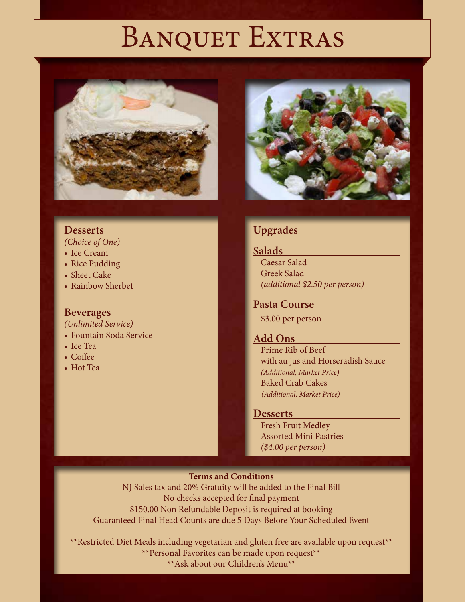# BANQUET EXTRAS





*(Choice of One)*

- Ice Cream
- Rice Pudding
- Sheet Cake
- Rainbow Sherbet

#### **Beverages**

*(Unlimited Service)*

- Fountain Soda Service
- Ice Tea
- Coffee
- Hot Tea



# **Upgrades**

#### **Salads**

Caesar Salad Greek Salad *(additional \$2.50 per person)*

# **Pasta Course**

\$3.00 per person

# **Add Ons**

Prime Rib of Beef with au jus and Horseradish Sauce *(Additional, Market Price)* Baked Crab Cakes *(Additional, Market Price)*

#### **Desserts**

Fresh Fruit Medley Assorted Mini Pastries *(\$4.00 per person)*

#### **Terms and Conditions**

NJ Sales tax and 20% Gratuity will be added to the Final Bill No checks accepted for final payment \$150.00 Non Refundable Deposit is required at booking Guaranteed Final Head Counts are due 5 Days Before Your Scheduled Event

\*\*Restricted Diet Meals including vegetarian and gluten free are available upon request\*\* \*\*Personal Favorites can be made upon request\*\* \*\*Ask about our Children's Menu\*\*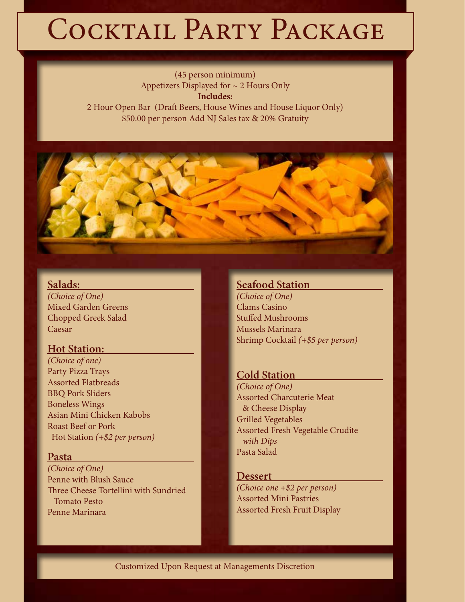# COCKTAIL PARTY PACKAGE

(45 person minimum) Appetizers Displayed for ~ 2 Hours Only **Includes:** 2 Hour Open Bar (Draft Beers, House Wines and House Liquor Only)

\$50.00 per person Add NJ Sales tax & 20% Gratuity

#### **Salads:**

*(Choice of One)* Mixed Garden Greens Chopped Greek Salad Caesar

#### **Hot Station:**

*(Choice of one)* Party Pizza Trays Assorted Flatbreads BBQ Pork Sliders Boneless Wings Asian Mini Chicken Kabobs Roast Beef or Pork Hot Station *(+\$2 per person)*

#### **Pasta**

*(Choice of One)* Penne with Blush Sauce Three Cheese Tortellini with Sundried Tomato Pesto Penne Marinara

#### **Seafood Station**

*(Choice of One)* Clams Casino Stuffed Mushrooms Mussels Marinara Shrimp Cocktail *(+\$5 per person)*

#### **Cold Station**

*(Choice of One)* Assorted Charcuterie Meat & Cheese Display Grilled Vegetables Assorted Fresh Vegetable Crudite  *with Dips* Pasta Salad

#### **Dessert**

*(Choice one +\$2 per person)* Assorted Mini Pastries Assorted Fresh Fruit Display

#### Customized Upon Request at Managements Discretion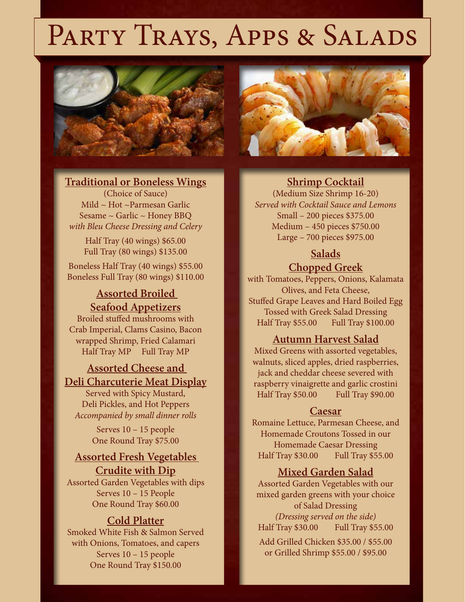# PARTY TRAYS, APPS & SALADS



#### **Traditional or Boneless Wings**

(Choice of Sauce) Mild ~ Hot ~Parmesan Garlic Sesame ~ Garlic ~ Honey BBQ *with Bleu Cheese Dressing and Celery*

> Half Tray (40 wings) \$65.00 Full Tray (80 wings) \$135.00

Boneless Half Tray (40 wings) \$55.00 Boneless Full Tray (80 wings) \$110.00

**Assorted Broiled Seafood Appetizers** Broiled stuffed mushrooms with

Crab Imperial, Clams Casino, Bacon wrapped Shrimp, Fried Calamari Half Tray MP Full Tray MP

# **Assorted Cheese and Deli Charcuterie Meat Display**

Served with Spicy Mustard, Deli Pickles, and Hot Peppers *Accompanied by small dinner rolls*

> Serves 10 – 15 people One Round Tray \$75.00

# **Assorted Fresh Vegetables Crudite with Dip**

Assorted Garden Vegetables with dips Serves 10 – 15 People One Round Tray \$60.00

#### **Cold Platter**

Smoked White Fish & Salmon Served with Onions, Tomatoes, and capers Serves 10 – 15 people One Round Tray \$150.00



#### **Shrimp Cocktail**

(Medium Size Shrimp 16-20) *Served with Cocktail Sauce and Lemons* Small – 200 pieces \$375.00 Medium – 450 pieces \$750.00 Large – 700 pieces \$975.00

# **Salads**

# **Chopped Greek**

with Tomatoes, Peppers, Onions, Kalamata Olives, and Feta Cheese, Stuffed Grape Leaves and Hard Boiled Egg Tossed with Greek Salad Dressing Half Tray \$55.00 Full Tray \$100.00

#### **Autumn Harvest Salad**

Mixed Greens with assorted vegetables, walnuts, sliced apples, dried raspberries, jack and cheddar cheese severed with raspberry vinaigrette and garlic crostini Half Tray \$50.00 Full Tray \$90.00

#### **Caesar**

Romaine Lettuce, Parmesan Cheese, and Homemade Croutons Tossed in our Homemade Caesar Dressing Half Tray \$30.00 Full Tray \$55.00

#### **Mixed Garden Salad**

Assorted Garden Vegetables with our mixed garden greens with your choice of Salad Dressing *(Dressing served on the side)* Half Tray \$30.00 Full Tray \$55.00

Add Grilled Chicken \$35.00 / \$55.00 or Grilled Shrimp \$55.00 / \$95.00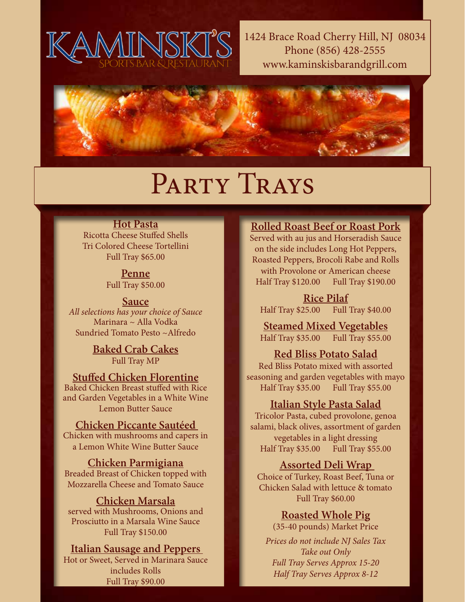

1424 Brace Road Cherry Hill, NJ 08034 Phone (856) 428-2555 www.kaminskisbarandgrill.com



# PARTY TRAYS

## **Hot Pasta**

Ricotta Cheese Stuffed Shells Tri Colored Cheese Tortellini Full Tray \$65.00

> **Penne** Full Tray \$50.00

#### **Sauce**

*All selections has your choice of Sauce* Marinara ~ Alla Vodka Sundried Tomato Pesto ~Alfredo

> **Baked Crab Cakes** Full Tray MP

#### **Stuffed Chicken Florentine** Baked Chicken Breast stuffed with Rice

and Garden Vegetables in a White Wine Lemon Butter Sauce

# **Chicken Piccante Sautéed**

Chicken with mushrooms and capers in a Lemon White Wine Butter Sauce

#### **Chicken Parmigiana**

Breaded Breast of Chicken topped with Mozzarella Cheese and Tomato Sauce

#### **Chicken Marsala**

served with Mushrooms, Onions and Prosciutto in a Marsala Wine Sauce Full Tray \$150.00

#### **Italian Sausage and Peppers**

Hot or Sweet, Served in Marinara Sauce includes Rolls Full Tray \$90.00

# **Rolled Roast Beef or Roast Pork**

Served with au jus and Horseradish Sauce on the side includes Long Hot Peppers, Roasted Peppers, Brocoli Rabe and Rolls with Provolone or American cheese Half Tray \$120.00 Full Tray \$190.00

**Rice Pilaf** Half Tray \$25.00 Full Tray \$40.00

**Steamed Mixed Vegetables** Half Tray \$35.00 Full Tray \$55.00

### **Red Bliss Potato Salad**

Red Bliss Potato mixed with assorted seasoning and garden vegetables with mayo Half Tray \$35.00 Full Tray \$55.00

### **Italian Style Pasta Salad**

Tricolor Pasta, cubed provolone, genoa salami, black olives, assortment of garden vegetables in a light dressing Half Tray \$35.00 Full Tray \$55.00

### **Assorted Deli Wrap**

Choice of Turkey, Roast Beef, Tuna or Chicken Salad with lettuce & tomato Full Tray \$60.00

### **Roasted Whole Pig**

(35-40 pounds) Market Price

*Prices do not include NJ Sales Tax Take out Only Full Tray Serves Approx 15-20 Half Tray Serves Approx 8-12*